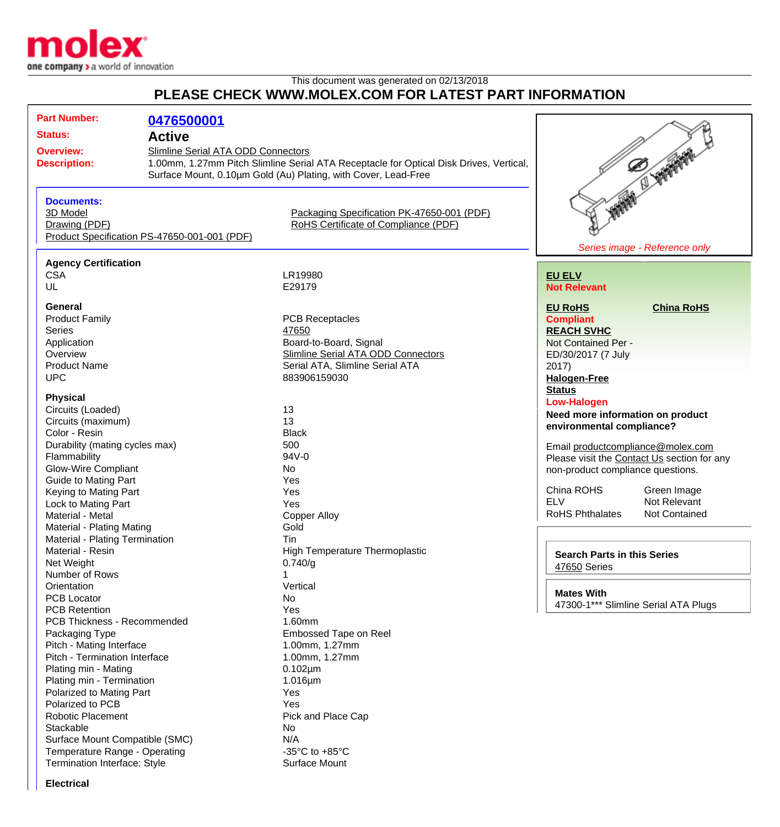

## This document was generated on 02/13/2018 **PLEASE CHECK WWW.MOLEX.COM FOR LATEST PART INFORMATION**

| <b>Part Number:</b>             |                                                                                                                              |                                                                |                                             |
|---------------------------------|------------------------------------------------------------------------------------------------------------------------------|----------------------------------------------------------------|---------------------------------------------|
|                                 | 0476500001                                                                                                                   |                                                                |                                             |
| <b>Status:</b><br><b>Active</b> |                                                                                                                              |                                                                |                                             |
| <b>Overview:</b>                | Slimline Serial ATA ODD Connectors<br>1.00mm, 1.27mm Pitch Slimline Serial ATA Receptacle for Optical Disk Drives, Vertical, |                                                                |                                             |
| <b>Description:</b>             |                                                                                                                              |                                                                |                                             |
|                                 |                                                                                                                              | Surface Mount, 0.10um Gold (Au) Plating, with Cover, Lead-Free |                                             |
|                                 |                                                                                                                              |                                                                |                                             |
| <b>Documents:</b>               |                                                                                                                              |                                                                |                                             |
| 3D Model                        |                                                                                                                              | Packaging Specification PK-47650-001 (PDF)                     |                                             |
| Drawing (PDF)                   |                                                                                                                              | RoHS Certificate of Compliance (PDF)                           |                                             |
|                                 | Product Specification PS-47650-001-001 (PDF)                                                                                 |                                                                |                                             |
|                                 |                                                                                                                              |                                                                | Series image - Reference only               |
| <b>Agency Certification</b>     |                                                                                                                              |                                                                |                                             |
| <b>CSA</b>                      |                                                                                                                              | LR19980                                                        | <b>EU ELV</b>                               |
| UL                              |                                                                                                                              | E29179                                                         | <b>Not Relevant</b>                         |
|                                 |                                                                                                                              |                                                                |                                             |
| <b>General</b>                  |                                                                                                                              |                                                                | <b>EU RoHS</b><br><b>China RoHS</b>         |
| <b>Product Family</b>           |                                                                                                                              | <b>PCB Receptacles</b>                                         | <b>Compliant</b>                            |
| <b>Series</b>                   |                                                                                                                              | 47650                                                          | <b>REACH SVHC</b>                           |
| Application                     |                                                                                                                              | Board-to-Board, Signal                                         | Not Contained Per -                         |
| Overview                        |                                                                                                                              | Slimline Serial ATA ODD Connectors                             | ED/30/2017 (7 July                          |
| <b>Product Name</b>             |                                                                                                                              | Serial ATA, Slimline Serial ATA                                | 2017)                                       |
| <b>UPC</b>                      |                                                                                                                              | 883906159030                                                   | <b>Halogen-Free</b>                         |
|                                 |                                                                                                                              |                                                                | <b>Status</b>                               |
| <b>Physical</b>                 |                                                                                                                              |                                                                | <b>Low-Halogen</b>                          |
| Circuits (Loaded)               |                                                                                                                              | 13                                                             | Need more information on product            |
| Circuits (maximum)              |                                                                                                                              | 13                                                             | environmental compliance?                   |
| Color - Resin                   |                                                                                                                              | <b>Black</b>                                                   |                                             |
| Durability (mating cycles max)  |                                                                                                                              | 500                                                            | Email productcompliance@molex.com           |
| Flammability                    |                                                                                                                              | 94V-0                                                          | Please visit the Contact Us section for any |
| <b>Glow-Wire Compliant</b>      |                                                                                                                              | No.                                                            | non-product compliance questions.           |
| <b>Guide to Mating Part</b>     |                                                                                                                              | Yes                                                            |                                             |
| Keying to Mating Part           |                                                                                                                              | Yes                                                            | China ROHS<br>Green Image                   |
| Lock to Mating Part             |                                                                                                                              | Yes                                                            | <b>ELV</b><br>Not Relevant                  |
| Material - Metal                |                                                                                                                              | <b>Copper Alloy</b>                                            | <b>RoHS Phthalates</b><br>Not Contained     |
| Material - Plating Mating       |                                                                                                                              | Gold                                                           |                                             |
| Material - Plating Termination  |                                                                                                                              | Tin                                                            |                                             |
| Material - Resin                |                                                                                                                              | High Temperature Thermoplastic                                 | <b>Search Parts in this Series</b>          |
| Net Weight                      |                                                                                                                              | 0.740/g                                                        | 47650 Series                                |
| Number of Rows                  |                                                                                                                              |                                                                |                                             |
| Orientation                     |                                                                                                                              | Vertical                                                       |                                             |
| <b>PCB Locator</b>              |                                                                                                                              | No.                                                            | <b>Mates With</b>                           |
| <b>PCB Retention</b>            |                                                                                                                              | Yes                                                            | 47300-1*** Slimline Serial ATA Plugs        |
| PCB Thickness - Recommended     |                                                                                                                              | 1.60mm                                                         |                                             |
| Packaging Type                  |                                                                                                                              | <b>Embossed Tape on Reel</b>                                   |                                             |
| Pitch - Mating Interface        |                                                                                                                              | 1.00mm, 1.27mm                                                 |                                             |
| Pitch - Termination Interface   |                                                                                                                              | 1.00mm, 1.27mm                                                 |                                             |
| Plating min - Mating            |                                                                                                                              | $0.102 \mu m$                                                  |                                             |
| Plating min - Termination       |                                                                                                                              | $1.016 \mu m$                                                  |                                             |
| Polarized to Mating Part        |                                                                                                                              | Yes                                                            |                                             |
| Polarized to PCB                |                                                                                                                              | Yes                                                            |                                             |
| <b>Robotic Placement</b>        |                                                                                                                              | Pick and Place Cap                                             |                                             |
| Stackable                       |                                                                                                                              | No                                                             |                                             |
| Surface Mount Compatible (SMC)  |                                                                                                                              | N/A                                                            |                                             |
| Temperature Range - Operating   |                                                                                                                              | -35 $\mathrm{^{\circ}C}$ to +85 $\mathrm{^{\circ}C}$           |                                             |

**Electrical**

Termination Interface: Style Surface Mount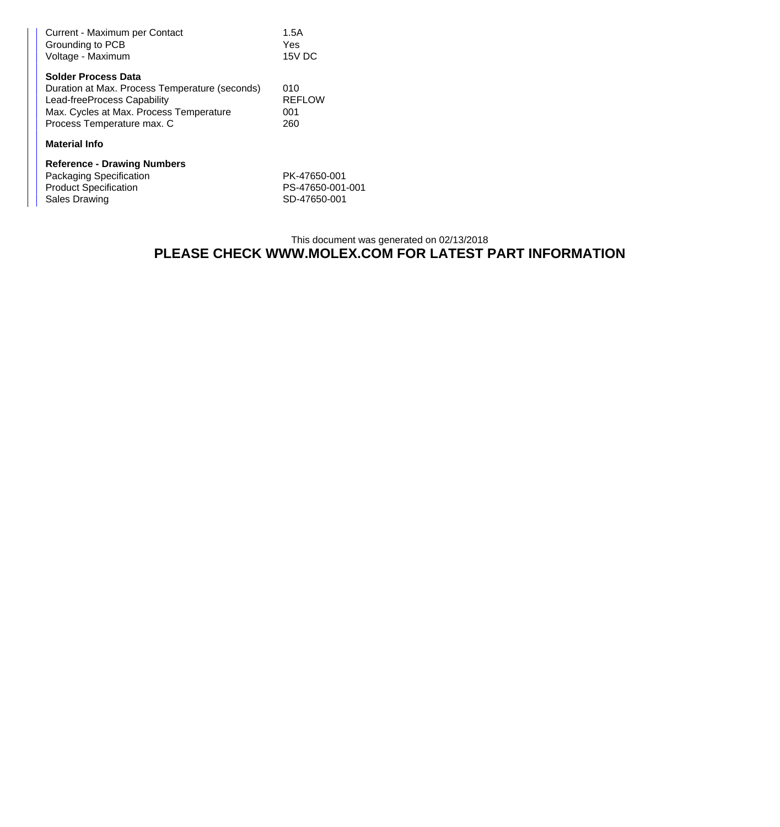| Current - Maximum per Contact<br>Grounding to PCB<br>Voltage - Maximum                                                                                                               | 1.5A<br>Yes<br>15V DC              |
|--------------------------------------------------------------------------------------------------------------------------------------------------------------------------------------|------------------------------------|
| <b>Solder Process Data</b><br>Duration at Max. Process Temperature (seconds)<br>Lead-freeProcess Capability<br>Max. Cycles at Max. Process Temperature<br>Process Temperature max. C | 010<br><b>REFLOW</b><br>001<br>260 |
| <b>Material Info</b>                                                                                                                                                                 |                                    |
| <b>Reference - Drawing Numbers</b>                                                                                                                                                   |                                    |
| Packaging Specification                                                                                                                                                              | PK-47650-001                       |
| <b>Product Specification</b>                                                                                                                                                         | PS-47650-001-001                   |
| Sales Drawing                                                                                                                                                                        | SD-47650-001                       |

This document was generated on 02/13/2018

## **PLEASE CHECK WWW.MOLEX.COM FOR LATEST PART INFORMATION**